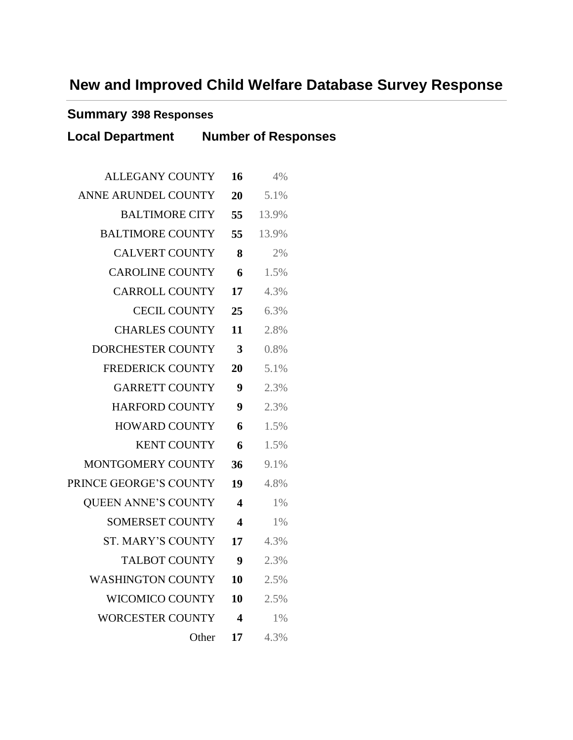# **New and Improved Child Welfare Database Survey Response**

#### **Summary 398 Responses**

| <b>Local Department Number of Responses</b> |                         |         |  |
|---------------------------------------------|-------------------------|---------|--|
| ALLEGANY COUNTY                             | 16                      | 4%      |  |
| ANNE ARUNDEL COUNTY                         | 20                      | 5.1%    |  |
| <b>BALTIMORE CITY</b>                       | 55                      | 13.9%   |  |
| <b>BALTIMORE COUNTY</b>                     | 55                      | 13.9%   |  |
| <b>CALVERT COUNTY</b>                       | 8                       | 2%      |  |
| <b>CAROLINE COUNTY</b>                      | 6                       | 1.5%    |  |
| <b>CARROLL COUNTY</b>                       | 17                      | 4.3%    |  |
| <b>CECIL COUNTY</b>                         | 25                      | 6.3%    |  |
| <b>CHARLES COUNTY</b>                       | 11                      | 2.8%    |  |
| DORCHESTER COUNTY                           | 3                       | 0.8%    |  |
| <b>FREDERICK COUNTY</b>                     | 20                      | 5.1%    |  |
| <b>GARRETT COUNTY</b>                       | 9                       | 2.3%    |  |
| <b>HARFORD COUNTY</b>                       | 9                       | 2.3%    |  |
| <b>HOWARD COUNTY</b>                        | 6                       | 1.5%    |  |
| <b>KENT COUNTY</b>                          | 6                       | 1.5%    |  |
| MONTGOMERY COUNTY                           | 36                      | 9.1%    |  |
| PRINCE GEORGE'S COUNTY                      | 19                      | 4.8%    |  |
| QUEEN ANNE'S COUNTY                         | 4                       | $1\%$   |  |
| <b>SOMERSET COUNTY</b>                      | $\overline{\mathbf{4}}$ | $1\%$   |  |
| ST. MARY'S COUNTY                           | 17                      | $4.3\%$ |  |
| <b>TALBOT COUNTY</b>                        | 9                       | 2.3%    |  |
| <b>WASHINGTON COUNTY</b>                    | 10                      | 2.5%    |  |
| <b>WICOMICO COUNTY</b>                      | 10                      | 2.5%    |  |
| <b>WORCESTER COUNTY</b>                     | $\overline{\mathbf{4}}$ | $1\%$   |  |
|                                             | Other<br>17             | 4.3%    |  |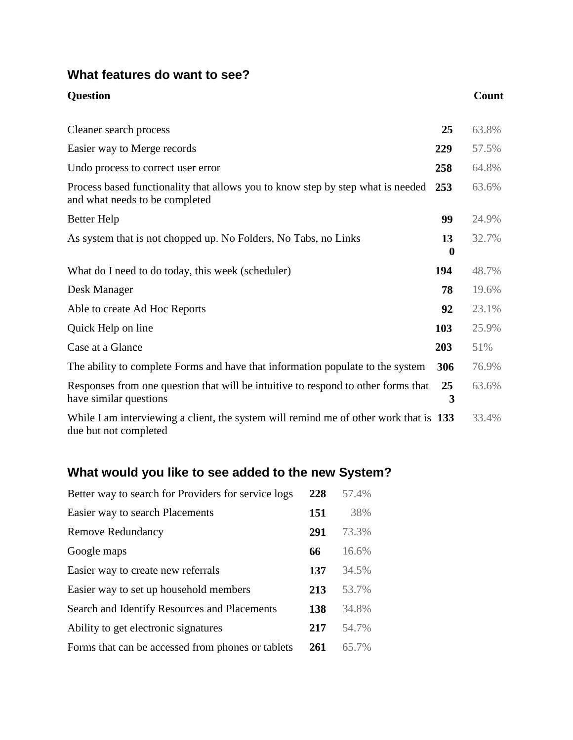### **What features do want to see?**

| <b>Question</b>                                                                                                   |                | Count |
|-------------------------------------------------------------------------------------------------------------------|----------------|-------|
| Cleaner search process                                                                                            | 25             | 63.8% |
| Easier way to Merge records                                                                                       | 229            | 57.5% |
| Undo process to correct user error                                                                                | 258            | 64.8% |
| Process based functionality that allows you to know step by step what is needed<br>and what needs to be completed | 253            | 63.6% |
| Better Help                                                                                                       | 99             | 24.9% |
| As system that is not chopped up. No Folders, No Tabs, no Links                                                   | 13<br>$\bf{0}$ | 32.7% |
| What do I need to do today, this week (scheduler)                                                                 | 194            | 48.7% |
| Desk Manager                                                                                                      | 78             | 19.6% |
| Able to create Ad Hoc Reports                                                                                     | 92             | 23.1% |
| Quick Help on line                                                                                                | 103            | 25.9% |
| Case at a Glance                                                                                                  | 203            | 51%   |
| The ability to complete Forms and have that information populate to the system                                    | 306            | 76.9% |
| Responses from one question that will be intuitive to respond to other forms that<br>have similar questions       | 25<br>3        | 63.6% |
| While I am interviewing a client, the system will remind me of other work that is 133<br>due but not completed    |                | 33.4% |

## **What would you like to see added to the new System?**

| Better way to search for Providers for service logs | 228 | 57.4% |
|-----------------------------------------------------|-----|-------|
| Easier way to search Placements                     | 151 | 38%   |
| <b>Remove Redundancy</b>                            | 291 | 73.3% |
| Google maps                                         | 66  | 16.6% |
| Easier way to create new referrals                  | 137 | 34.5% |
| Easier way to set up household members              | 213 | 53.7% |
| Search and Identify Resources and Placements        | 138 | 34.8% |
| Ability to get electronic signatures                | 217 | 54.7% |
| Forms that can be accessed from phones or tablets   | 261 | 65.7% |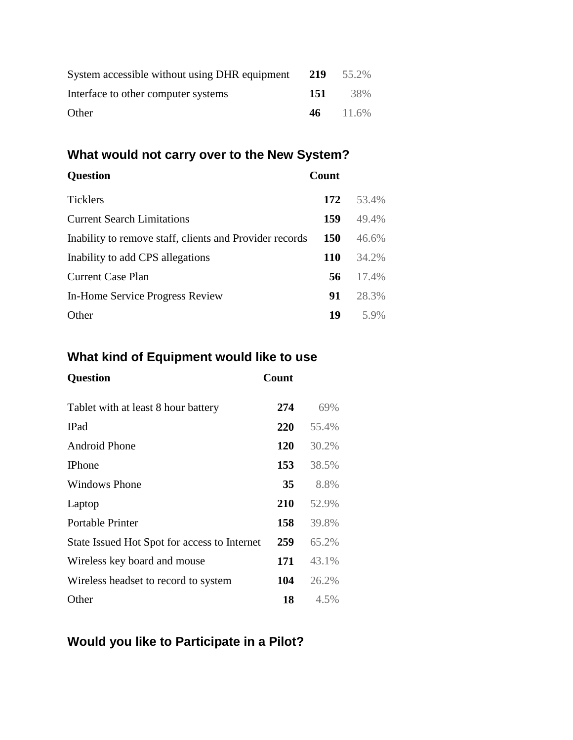| System accessible without using DHR equipment 219 |     | 55.2%         |
|---------------------------------------------------|-----|---------------|
| Interface to other computer systems               | 151 | 38%           |
| Other                                             |     | $46 \t11.6\%$ |

#### **What would not carry over to the New System?**

# **Question Count** Ticklers **172** 53.4% Current Search Limitations **159** 49.4% Inability to remove staff, clients and Provider records **150** 46.6% Inability to add CPS allegations **110** 34.2% Current Case Plan **56** 17.4% In-Home Service Progress Review **91** 28.3% **Other 19** 5.9%

### **What kind of Equipment would like to use**

| <b>Question</b>                              | Count      |       |
|----------------------------------------------|------------|-------|
| Tablet with at least 8 hour battery          | 274        | 69%   |
| <b>IPad</b>                                  | 220        | 55.4% |
| Android Phone                                | <b>120</b> | 30.2% |
| <b>IPhone</b>                                | 153        | 38.5% |
| <b>Windows Phone</b>                         | 35         | 8.8%  |
| Laptop                                       | <b>210</b> | 52.9% |
| <b>Portable Printer</b>                      | 158        | 39.8% |
| State Issued Hot Spot for access to Internet | 259        | 65.2% |
| Wireless key board and mouse                 | 171        | 43.1% |
| Wireless headset to record to system         | 104        | 26.2% |
| Other                                        | 18         | 4.5%  |

## **Would you like to Participate in a Pilot?**